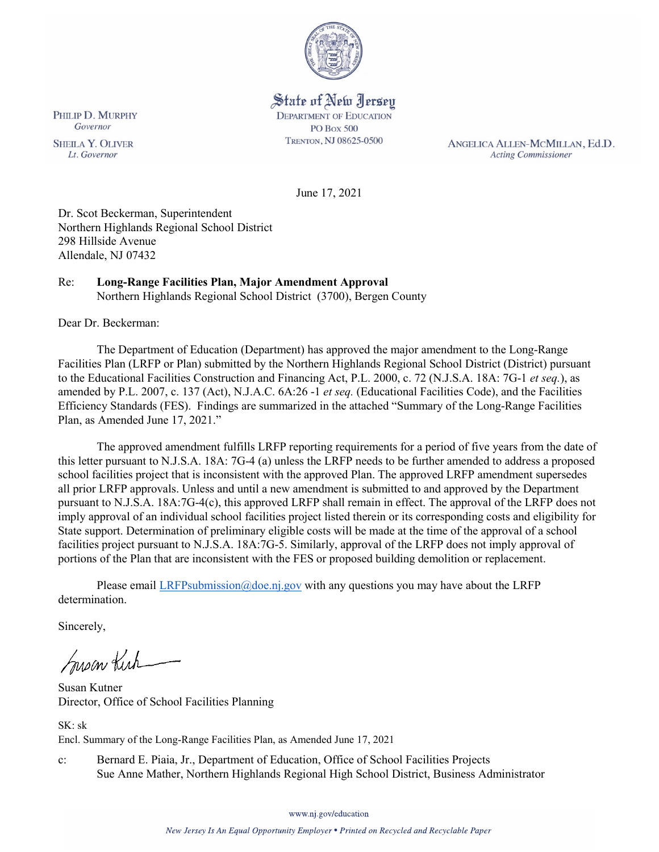

State of New Jersey **DEPARTMENT OF EDUCATION PO Box 500** TRENTON, NJ 08625-0500

ANGELICA ALLEN-MCMILLAN, Ed.D. **Acting Commissioner** 

June 17, 2021

Dr. Scot Beckerman, Superintendent Northern Highlands Regional School District 298 Hillside Avenue Allendale, NJ 07432

### Re: **Long-Range Facilities Plan, Major Amendment Approval** Northern Highlands Regional School District (3700), Bergen County

Dear Dr. Beckerman:

The Department of Education (Department) has approved the major amendment to the Long-Range Facilities Plan (LRFP or Plan) submitted by the Northern Highlands Regional School District (District) pursuant to the Educational Facilities Construction and Financing Act, P.L. 2000, c. 72 (N.J.S.A. 18A: 7G-1 *et seq.*), as amended by P.L. 2007, c. 137 (Act), N.J.A.C. 6A:26 -1 *et seq.* (Educational Facilities Code), and the Facilities Efficiency Standards (FES). Findings are summarized in the attached "Summary of the Long-Range Facilities Plan, as Amended June 17, 2021."

The approved amendment fulfills LRFP reporting requirements for a period of five years from the date of this letter pursuant to N.J.S.A. 18A: 7G-4 (a) unless the LRFP needs to be further amended to address a proposed school facilities project that is inconsistent with the approved Plan. The approved LRFP amendment supersedes all prior LRFP approvals. Unless and until a new amendment is submitted to and approved by the Department pursuant to N.J.S.A. 18A:7G-4(c), this approved LRFP shall remain in effect. The approval of the LRFP does not imply approval of an individual school facilities project listed therein or its corresponding costs and eligibility for State support. Determination of preliminary eligible costs will be made at the time of the approval of a school facilities project pursuant to N.J.S.A. 18A:7G-5. Similarly, approval of the LRFP does not imply approval of portions of the Plan that are inconsistent with the FES or proposed building demolition or replacement.

Please email [LRFPsubmission@doe.nj.gov](mailto:LRFPsubmission@doe.nj.gov) with any questions you may have about the LRFP determination.

Sincerely,

Susan Kich

Susan Kutner Director, Office of School Facilities Planning

SK: sk Encl. Summary of the Long-Range Facilities Plan, as Amended June 17, 2021

c: Bernard E. Piaia, Jr., Department of Education, Office of School Facilities Projects Sue Anne Mather, Northern Highlands Regional High School District, Business Administrator

PHILIP D. MURPHY Governor

**SHEILA Y. OLIVER** Lt. Governor

www.nj.gov/education

New Jersey Is An Equal Opportunity Employer . Printed on Recycled and Recyclable Paper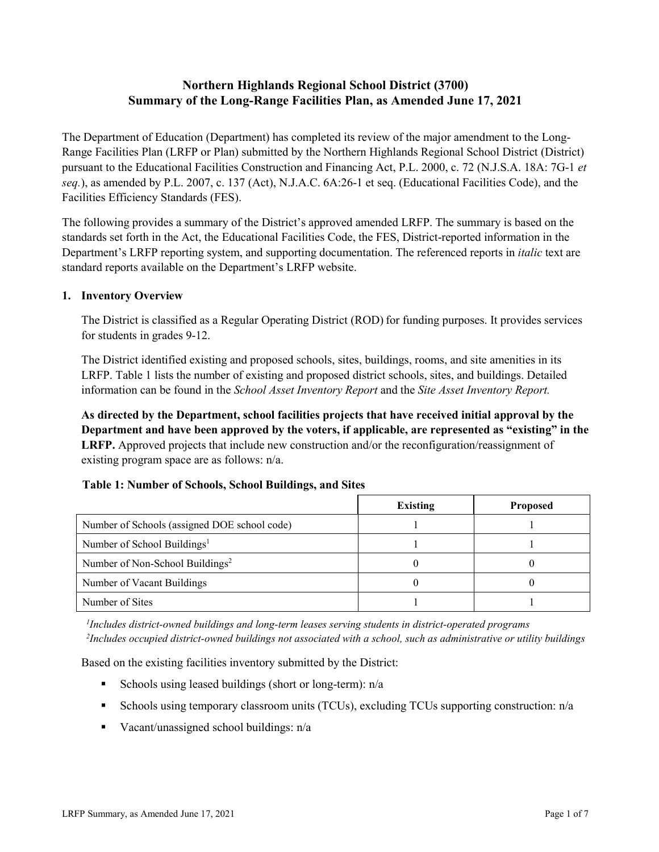# **Northern Highlands Regional School District (3700) Summary of the Long-Range Facilities Plan, as Amended June 17, 2021**

The Department of Education (Department) has completed its review of the major amendment to the Long-Range Facilities Plan (LRFP or Plan) submitted by the Northern Highlands Regional School District (District) pursuant to the Educational Facilities Construction and Financing Act, P.L. 2000, c. 72 (N.J.S.A. 18A: 7G-1 *et seq.*), as amended by P.L. 2007, c. 137 (Act), N.J.A.C. 6A:26-1 et seq. (Educational Facilities Code), and the Facilities Efficiency Standards (FES).

The following provides a summary of the District's approved amended LRFP. The summary is based on the standards set forth in the Act, the Educational Facilities Code, the FES, District-reported information in the Department's LRFP reporting system, and supporting documentation. The referenced reports in *italic* text are standard reports available on the Department's LRFP website.

### **1. Inventory Overview**

The District is classified as a Regular Operating District (ROD) for funding purposes. It provides services for students in grades 9-12.

The District identified existing and proposed schools, sites, buildings, rooms, and site amenities in its LRFP. Table 1 lists the number of existing and proposed district schools, sites, and buildings. Detailed information can be found in the *School Asset Inventory Report* and the *Site Asset Inventory Report.*

**As directed by the Department, school facilities projects that have received initial approval by the Department and have been approved by the voters, if applicable, are represented as "existing" in the LRFP.** Approved projects that include new construction and/or the reconfiguration/reassignment of existing program space are as follows: n/a.

|  |  | Table 1: Number of Schools, School Buildings, and Sites |  |
|--|--|---------------------------------------------------------|--|
|--|--|---------------------------------------------------------|--|

|                                              | <b>Existing</b> | <b>Proposed</b> |
|----------------------------------------------|-----------------|-----------------|
| Number of Schools (assigned DOE school code) |                 |                 |
| Number of School Buildings <sup>1</sup>      |                 |                 |
| Number of Non-School Buildings <sup>2</sup>  |                 |                 |
| Number of Vacant Buildings                   |                 |                 |
| Number of Sites                              |                 |                 |

*1 Includes district-owned buildings and long-term leases serving students in district-operated programs 2 Includes occupied district-owned buildings not associated with a school, such as administrative or utility buildings*

Based on the existing facilities inventory submitted by the District:

- Schools using leased buildings (short or long-term):  $n/a$
- Schools using temporary classroom units (TCUs), excluding TCUs supporting construction: n/a
- Vacant/unassigned school buildings:  $n/a$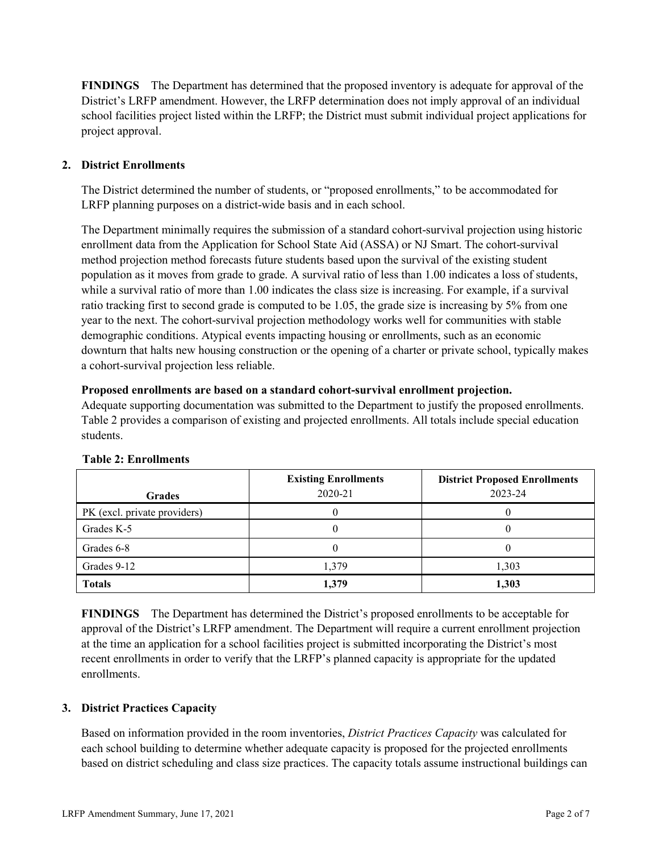**FINDINGS** The Department has determined that the proposed inventory is adequate for approval of the District's LRFP amendment. However, the LRFP determination does not imply approval of an individual school facilities project listed within the LRFP; the District must submit individual project applications for project approval.

# **2. District Enrollments**

The District determined the number of students, or "proposed enrollments," to be accommodated for LRFP planning purposes on a district-wide basis and in each school.

The Department minimally requires the submission of a standard cohort-survival projection using historic enrollment data from the Application for School State Aid (ASSA) or NJ Smart. The cohort-survival method projection method forecasts future students based upon the survival of the existing student population as it moves from grade to grade. A survival ratio of less than 1.00 indicates a loss of students, while a survival ratio of more than 1.00 indicates the class size is increasing. For example, if a survival ratio tracking first to second grade is computed to be 1.05, the grade size is increasing by 5% from one year to the next. The cohort-survival projection methodology works well for communities with stable demographic conditions. Atypical events impacting housing or enrollments, such as an economic downturn that halts new housing construction or the opening of a charter or private school, typically makes a cohort-survival projection less reliable.

#### **Proposed enrollments are based on a standard cohort-survival enrollment projection.**

Adequate supporting documentation was submitted to the Department to justify the proposed enrollments. Table 2 provides a comparison of existing and projected enrollments. All totals include special education students.

| <b>Grades</b>                | <b>Existing Enrollments</b><br>2020-21 | <b>District Proposed Enrollments</b><br>2023-24 |
|------------------------------|----------------------------------------|-------------------------------------------------|
| PK (excl. private providers) |                                        |                                                 |
| Grades K-5                   |                                        |                                                 |
| Grades 6-8                   |                                        |                                                 |
| Grades 9-12                  | 1,379                                  | 1,303                                           |
| <b>Totals</b>                | 1,379                                  | 1,303                                           |

#### **Table 2: Enrollments**

**FINDINGS** The Department has determined the District's proposed enrollments to be acceptable for approval of the District's LRFP amendment. The Department will require a current enrollment projection at the time an application for a school facilities project is submitted incorporating the District's most recent enrollments in order to verify that the LRFP's planned capacity is appropriate for the updated enrollments.

#### **3. District Practices Capacity**

Based on information provided in the room inventories, *District Practices Capacity* was calculated for each school building to determine whether adequate capacity is proposed for the projected enrollments based on district scheduling and class size practices. The capacity totals assume instructional buildings can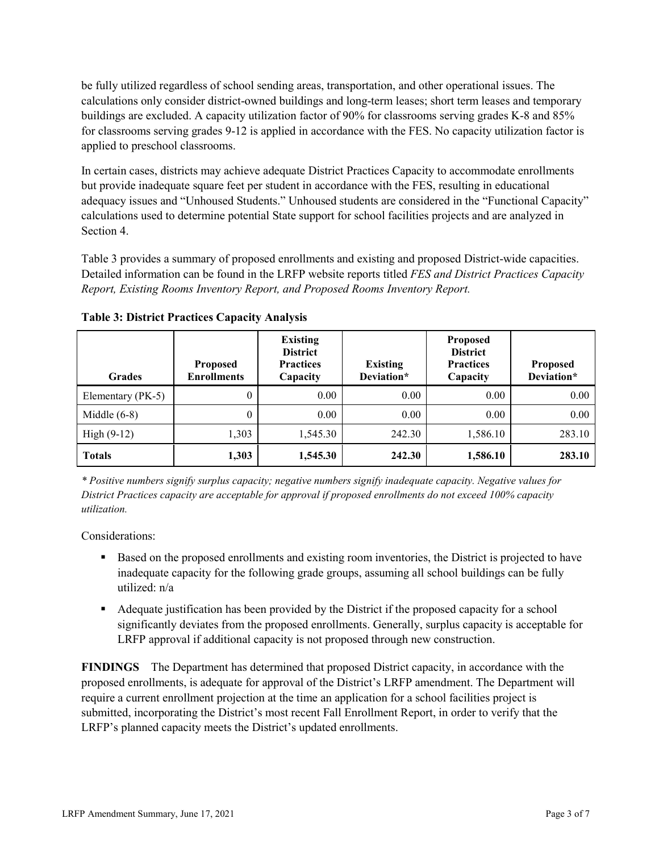be fully utilized regardless of school sending areas, transportation, and other operational issues. The calculations only consider district-owned buildings and long-term leases; short term leases and temporary buildings are excluded. A capacity utilization factor of 90% for classrooms serving grades K-8 and 85% for classrooms serving grades 9-12 is applied in accordance with the FES. No capacity utilization factor is applied to preschool classrooms.

In certain cases, districts may achieve adequate District Practices Capacity to accommodate enrollments but provide inadequate square feet per student in accordance with the FES, resulting in educational adequacy issues and "Unhoused Students." Unhoused students are considered in the "Functional Capacity" calculations used to determine potential State support for school facilities projects and are analyzed in Section 4.

Table 3 provides a summary of proposed enrollments and existing and proposed District-wide capacities. Detailed information can be found in the LRFP website reports titled *FES and District Practices Capacity Report, Existing Rooms Inventory Report, and Proposed Rooms Inventory Report.*

| <b>Grades</b>     | <b>Proposed</b><br><b>Enrollments</b> | <b>Existing</b><br><b>District</b><br><b>Practices</b><br>Capacity | <b>Existing</b><br>Deviation* | <b>Proposed</b><br><b>District</b><br><b>Practices</b><br>Capacity | <b>Proposed</b><br>Deviation* |
|-------------------|---------------------------------------|--------------------------------------------------------------------|-------------------------------|--------------------------------------------------------------------|-------------------------------|
| Elementary (PK-5) | $\boldsymbol{0}$                      | 0.00                                                               | 0.00                          | 0.00                                                               | 0.00                          |
| Middle $(6-8)$    | $\boldsymbol{0}$                      | 0.00                                                               | 0.00                          | 0.00                                                               | 0.00                          |
| High $(9-12)$     | 1,303                                 | 1,545.30                                                           | 242.30                        | 1,586.10                                                           | 283.10                        |
| <b>Totals</b>     | 1,303                                 | 1,545.30                                                           | 242.30                        | 1,586.10                                                           | 283.10                        |

**Table 3: District Practices Capacity Analysis**

*\* Positive numbers signify surplus capacity; negative numbers signify inadequate capacity. Negative values for District Practices capacity are acceptable for approval if proposed enrollments do not exceed 100% capacity utilization.*

Considerations:

- **Based on the proposed enrollments and existing room inventories, the District is projected to have** inadequate capacity for the following grade groups, assuming all school buildings can be fully utilized: n/a
- Adequate justification has been provided by the District if the proposed capacity for a school significantly deviates from the proposed enrollments. Generally, surplus capacity is acceptable for LRFP approval if additional capacity is not proposed through new construction.

**FINDINGS**The Department has determined that proposed District capacity, in accordance with the proposed enrollments, is adequate for approval of the District's LRFP amendment. The Department will require a current enrollment projection at the time an application for a school facilities project is submitted, incorporating the District's most recent Fall Enrollment Report, in order to verify that the LRFP's planned capacity meets the District's updated enrollments.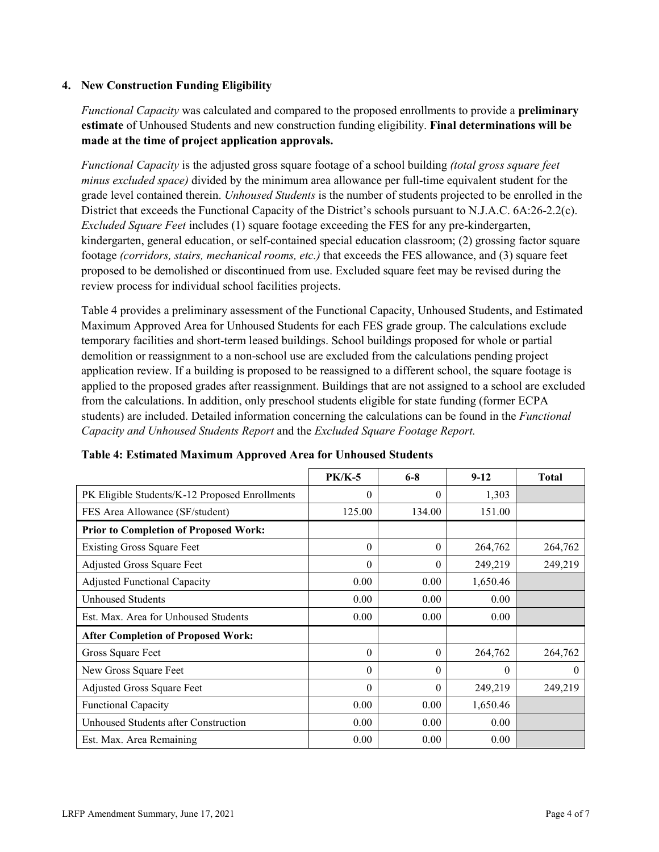### **4. New Construction Funding Eligibility**

*Functional Capacity* was calculated and compared to the proposed enrollments to provide a **preliminary estimate** of Unhoused Students and new construction funding eligibility. **Final determinations will be made at the time of project application approvals.**

*Functional Capacity* is the adjusted gross square footage of a school building *(total gross square feet minus excluded space)* divided by the minimum area allowance per full-time equivalent student for the grade level contained therein. *Unhoused Students* is the number of students projected to be enrolled in the District that exceeds the Functional Capacity of the District's schools pursuant to N.J.A.C. 6A:26-2.2(c). *Excluded Square Feet* includes (1) square footage exceeding the FES for any pre-kindergarten, kindergarten, general education, or self-contained special education classroom; (2) grossing factor square footage *(corridors, stairs, mechanical rooms, etc.)* that exceeds the FES allowance, and (3) square feet proposed to be demolished or discontinued from use. Excluded square feet may be revised during the review process for individual school facilities projects.

Table 4 provides a preliminary assessment of the Functional Capacity, Unhoused Students, and Estimated Maximum Approved Area for Unhoused Students for each FES grade group. The calculations exclude temporary facilities and short-term leased buildings. School buildings proposed for whole or partial demolition or reassignment to a non-school use are excluded from the calculations pending project application review. If a building is proposed to be reassigned to a different school, the square footage is applied to the proposed grades after reassignment. Buildings that are not assigned to a school are excluded from the calculations. In addition, only preschool students eligible for state funding (former ECPA students) are included. Detailed information concerning the calculations can be found in the *Functional Capacity and Unhoused Students Report* and the *Excluded Square Footage Report.*

|                                                | <b>PK/K-5</b> | $6 - 8$  | $9 - 12$ | <b>Total</b> |
|------------------------------------------------|---------------|----------|----------|--------------|
| PK Eligible Students/K-12 Proposed Enrollments | $\theta$      | $\theta$ | 1,303    |              |
| FES Area Allowance (SF/student)                | 125.00        | 134.00   | 151.00   |              |
| <b>Prior to Completion of Proposed Work:</b>   |               |          |          |              |
| <b>Existing Gross Square Feet</b>              | $\theta$      | $\theta$ | 264,762  | 264,762      |
| Adjusted Gross Square Feet                     | $\theta$      | $\theta$ | 249,219  | 249,219      |
| <b>Adjusted Functional Capacity</b>            | 0.00          | 0.00     | 1,650.46 |              |
| Unhoused Students                              | 0.00          | 0.00     | 0.00     |              |
| Est. Max. Area for Unhoused Students           | 0.00          | 0.00     | 0.00     |              |
| <b>After Completion of Proposed Work:</b>      |               |          |          |              |
| Gross Square Feet                              | $\theta$      | $\theta$ | 264,762  | 264,762      |
| New Gross Square Feet                          | $\theta$      | $\theta$ | $\Omega$ | $\theta$     |
| Adjusted Gross Square Feet                     | $\Omega$      | $\Omega$ | 249,219  | 249,219      |
| Functional Capacity                            | 0.00          | 0.00     | 1,650.46 |              |
| Unhoused Students after Construction           | 0.00          | 0.00     | 0.00     |              |
| Est. Max. Area Remaining                       | 0.00          | 0.00     | 0.00     |              |

| Table 4: Estimated Maximum Approved Area for Unhoused Students |  |  |
|----------------------------------------------------------------|--|--|
|----------------------------------------------------------------|--|--|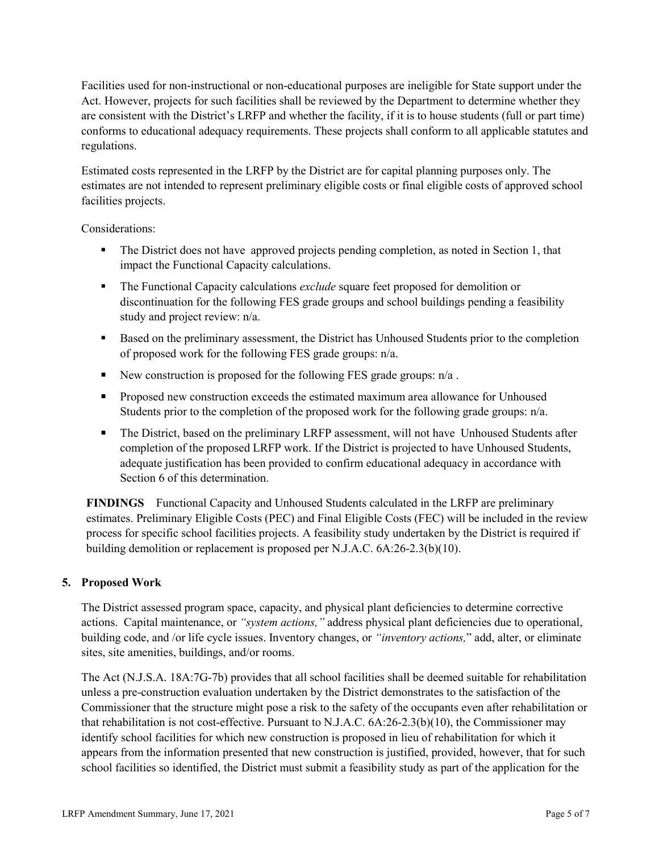Facilities used for non-instructional or non-educational purposes are ineligible for State support under the Act. However, projects for such facilities shall be reviewed by the Department to determine whether they are consistent with the District's LRFP and whether the facility, if it is to house students (full or part time) conforms to educational adequacy requirements. These projects shall conform to all applicable statutes and regulations.

Estimated costs represented in the LRFP by the District are for capital planning purposes only. The estimates are not intended to represent preliminary eligible costs or final eligible costs of approved school facilities projects.

Considerations:

- The District does not have approved projects pending completion, as noted in Section 1, that impact the Functional Capacity calculations.
- The Functional Capacity calculations *exclude* square feet proposed for demolition or discontinuation for the following FES grade groups and school buildings pending a feasibility study and project review: n/a.
- Based on the preliminary assessment, the District has Unhoused Students prior to the completion of proposed work for the following FES grade groups: n/a.
- New construction is proposed for the following FES grade groups:  $n/a$ .
- **Proposed new construction exceeds the estimated maximum area allowance for Unhoused** Students prior to the completion of the proposed work for the following grade groups: n/a.
- The District, based on the preliminary LRFP assessment, will not have Unhoused Students after completion of the proposed LRFP work. If the District is projected to have Unhoused Students, adequate justification has been provided to confirm educational adequacy in accordance with Section 6 of this determination.

**FINDINGS** Functional Capacity and Unhoused Students calculated in the LRFP are preliminary estimates. Preliminary Eligible Costs (PEC) and Final Eligible Costs (FEC) will be included in the review process for specific school facilities projects. A feasibility study undertaken by the District is required if building demolition or replacement is proposed per N.J.A.C. 6A:26-2.3(b)(10).

# **5. Proposed Work**

The District assessed program space, capacity, and physical plant deficiencies to determine corrective actions. Capital maintenance, or *"system actions,"* address physical plant deficiencies due to operational, building code, and /or life cycle issues. Inventory changes, or *"inventory actions,*" add, alter, or eliminate sites, site amenities, buildings, and/or rooms.

The Act (N.J.S.A. 18A:7G-7b) provides that all school facilities shall be deemed suitable for rehabilitation unless a pre-construction evaluation undertaken by the District demonstrates to the satisfaction of the Commissioner that the structure might pose a risk to the safety of the occupants even after rehabilitation or that rehabilitation is not cost-effective. Pursuant to N.J.A.C. 6A:26-2.3(b)(10), the Commissioner may identify school facilities for which new construction is proposed in lieu of rehabilitation for which it appears from the information presented that new construction is justified, provided, however, that for such school facilities so identified, the District must submit a feasibility study as part of the application for the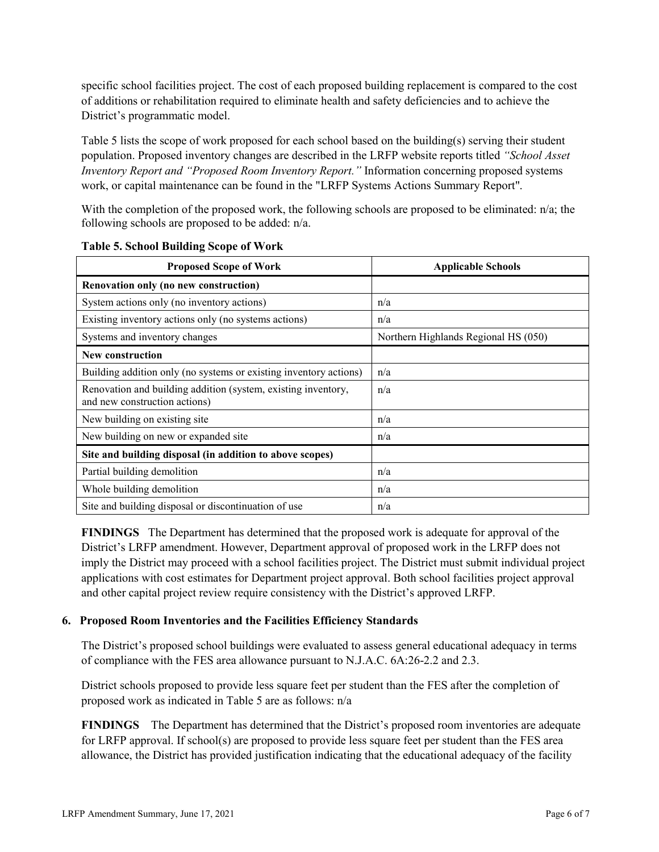specific school facilities project. The cost of each proposed building replacement is compared to the cost of additions or rehabilitation required to eliminate health and safety deficiencies and to achieve the District's programmatic model.

Table 5 lists the scope of work proposed for each school based on the building(s) serving their student population. Proposed inventory changes are described in the LRFP website reports titled *"School Asset Inventory Report and "Proposed Room Inventory Report."* Information concerning proposed systems work, or capital maintenance can be found in the "LRFP Systems Actions Summary Report".

With the completion of the proposed work, the following schools are proposed to be eliminated: n/a; the following schools are proposed to be added: n/a.

| <b>Proposed Scope of Work</b>                                                                  | <b>Applicable Schools</b>            |
|------------------------------------------------------------------------------------------------|--------------------------------------|
| Renovation only (no new construction)                                                          |                                      |
| System actions only (no inventory actions)                                                     | n/a                                  |
| Existing inventory actions only (no systems actions)                                           | n/a                                  |
| Systems and inventory changes                                                                  | Northern Highlands Regional HS (050) |
| <b>New construction</b>                                                                        |                                      |
| Building addition only (no systems or existing inventory actions)                              | n/a                                  |
| Renovation and building addition (system, existing inventory,<br>and new construction actions) | n/a                                  |
| New building on existing site                                                                  | n/a                                  |
| New building on new or expanded site                                                           | n/a                                  |
| Site and building disposal (in addition to above scopes)                                       |                                      |
| Partial building demolition                                                                    | n/a                                  |
| Whole building demolition                                                                      | n/a                                  |
| Site and building disposal or discontinuation of use                                           | n/a                                  |

**Table 5. School Building Scope of Work**

**FINDINGS** The Department has determined that the proposed work is adequate for approval of the District's LRFP amendment. However, Department approval of proposed work in the LRFP does not imply the District may proceed with a school facilities project. The District must submit individual project applications with cost estimates for Department project approval. Both school facilities project approval and other capital project review require consistency with the District's approved LRFP.

#### **6. Proposed Room Inventories and the Facilities Efficiency Standards**

The District's proposed school buildings were evaluated to assess general educational adequacy in terms of compliance with the FES area allowance pursuant to N.J.A.C. 6A:26-2.2 and 2.3.

District schools proposed to provide less square feet per student than the FES after the completion of proposed work as indicated in Table 5 are as follows: n/a

**FINDINGS** The Department has determined that the District's proposed room inventories are adequate for LRFP approval. If school(s) are proposed to provide less square feet per student than the FES area allowance, the District has provided justification indicating that the educational adequacy of the facility